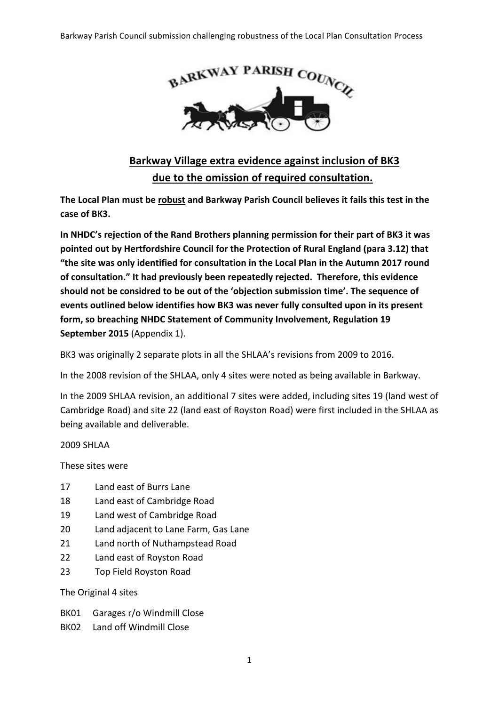

## **Barkway Village extra evidence against inclusion of BK3** due to the omission of required consultation.

The Local Plan must be robust and Barkway Parish Council believes it fails this test in the case of BK3.

In NHDC's rejection of the Rand Brothers planning permission for their part of BK3 it was pointed out by Hertfordshire Council for the Protection of Rural England (para 3.12) that "the site was only identified for consultation in the Local Plan in the Autumn 2017 round of consultation." It had previously been repeatedly rejected. Therefore, this evidence should not be considred to be out of the 'objection submission time'. The sequence of events outlined below identifies how BK3 was never fully consulted upon in its present **form, so breaching NHDC Statement of Community Involvement, Regulation 19 September 2015** (Appendix 1).

BK3 was originally 2 separate plots in all the SHLAA's revisions from 2009 to 2016.

In the 2008 revision of the SHLAA, only 4 sites were noted as being available in Barkway.

In the 2009 SHLAA revision, an additional 7 sites were added, including sites 19 (land west of Cambridge Road) and site 22 (land east of Royston Road) were first included in the SHLAA as being available and deliverable.

2009 SHLAA 

These sites were

- 17 Land east of Burrs Lane
- 18 Land east of Cambridge Road
- 19 Land west of Cambridge Road
- 20 Land adjacent to Lane Farm, Gas Lane
- 21 Land north of Nuthampstead Road
- 22 Land east of Royston Road
- 23 Top Field Royston Road

The Original 4 sites

- BK01 Garages r/o Windmill Close
- BK02 Land off Windmill Close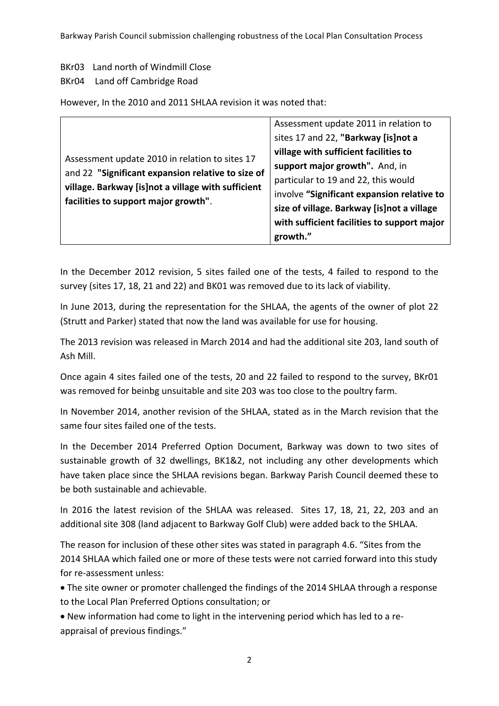Barkway Parish Council submission challenging robustness of the Local Plan Consultation Process

BKr03 Land north of Windmill Close

## BKr04 Land off Cambridge Road

However, In the 2010 and 2011 SHLAA revision it was noted that:

| Assessment update 2010 in relation to sites 17<br>and 22 "Significant expansion relative to size of<br>village. Barkway [is]not a village with sufficient<br>facilities to support major growth". | Assessment update 2011 in relation to       |
|---------------------------------------------------------------------------------------------------------------------------------------------------------------------------------------------------|---------------------------------------------|
|                                                                                                                                                                                                   | sites 17 and 22, "Barkway [is]not a         |
|                                                                                                                                                                                                   | village with sufficient facilities to       |
|                                                                                                                                                                                                   | support major growth". And, in              |
|                                                                                                                                                                                                   | particular to 19 and 22, this would         |
|                                                                                                                                                                                                   | involve "Significant expansion relative to  |
|                                                                                                                                                                                                   | size of village. Barkway [is]not a village  |
|                                                                                                                                                                                                   | with sufficient facilities to support major |
|                                                                                                                                                                                                   | growth."                                    |

In the December 2012 revision, 5 sites failed one of the tests, 4 failed to respond to the survey (sites 17, 18, 21 and 22) and BK01 was removed due to its lack of viability.

In June 2013, during the representation for the SHLAA, the agents of the owner of plot 22 (Strutt and Parker) stated that now the land was available for use for housing.

The 2013 revision was released in March 2014 and had the additional site 203, land south of Ash Mill.

Once again 4 sites failed one of the tests, 20 and 22 failed to respond to the survey, BKr01 was removed for beinbg unsuitable and site 203 was too close to the poultry farm.

In November 2014, another revision of the SHLAA, stated as in the March revision that the same four sites failed one of the tests.

In the December 2014 Preferred Option Document, Barkway was down to two sites of sustainable growth of 32 dwellings, BK1&2, not including any other developments which have taken place since the SHLAA revisions began. Barkway Parish Council deemed these to be both sustainable and achievable.

In 2016 the latest revision of the SHLAA was released. Sites 17, 18, 21, 22, 203 and an additional site 308 (land adjacent to Barkway Golf Club) were added back to the SHLAA.

The reason for inclusion of these other sites was stated in paragraph 4.6. "Sites from the 2014 SHLAA which failed one or more of these tests were not carried forward into this study for re-assessment unless:

• The site owner or promoter challenged the findings of the 2014 SHLAA through a response to the Local Plan Preferred Options consultation; or

• New information had come to light in the intervening period which has led to a reappraisal of previous findings."